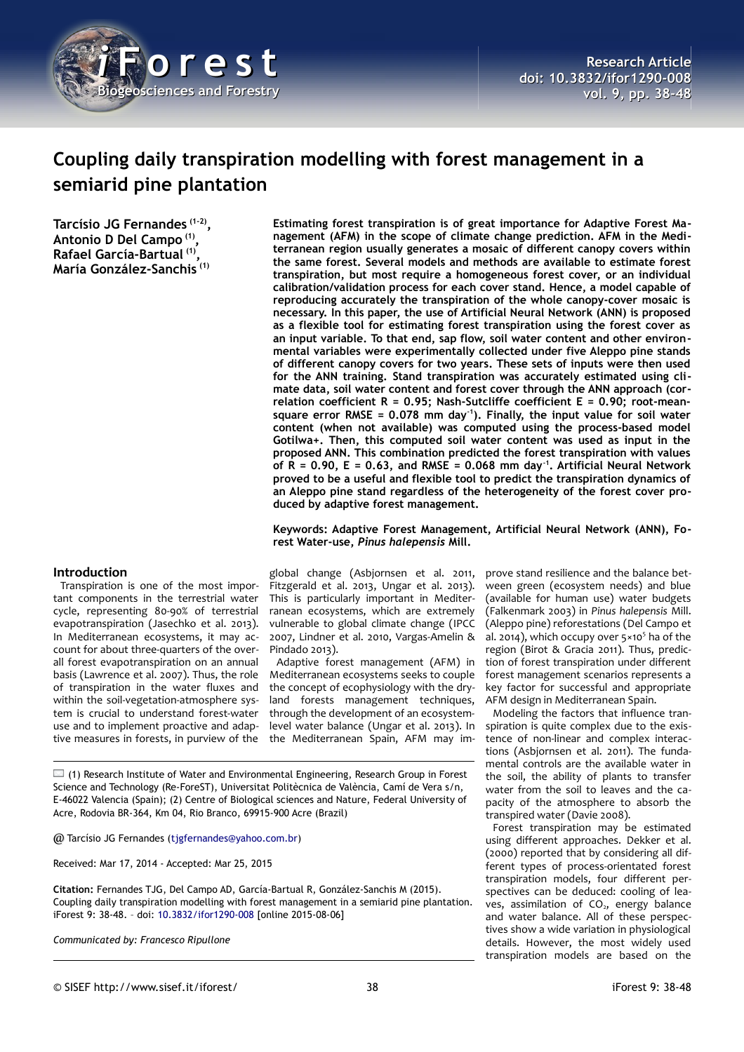

# **Coupling daily transpiration modelling with forest management in a semiarid pine plantation**

**Tarcísio JG Fernandes (1-2) , Antonio D Del Campo (1) , Rafael García-Bartual (1) , María González-Sanchis (1)**

**Estimating forest transpiration is of great importance for Adaptive Forest Management (AFM) in the scope of climate change prediction. AFM in the Mediterranean region usually generates a mosaic of different canopy covers within the same forest. Several models and methods are available to estimate forest transpiration, but most require a homogeneous forest cover, or an individual calibration/validation process for each cover stand. Hence, a model capable of reproducing accurately the transpiration of the whole canopy-cover mosaic is necessary. In this paper, the use of Artificial Neural Network (ANN) is proposed as a flexible tool for estimating forest transpiration using the forest cover as an input variable. To that end, sap flow, soil water content and other environmental variables were experimentally collected under five Aleppo pine stands of different canopy covers for two years. These sets of inputs were then used for the ANN training. Stand transpiration was accurately estimated using climate data, soil water content and forest cover through the ANN approach (correlation coefficient R = 0.95; Nash-Sutcliffe coefficient E = 0.90; root-meansquare error RMSE = 0.078 mm day-1). Finally, the input value for soil water content (when not available) was computed using the process-based model Gotilwa+. Then, this computed soil water content was used as input in the proposed ANN. This combination predicted the forest transpiration with values of R = 0.90, E = 0.63, and RMSE = 0.068 mm day-1. Artificial Neural Network proved to be a useful and flexible tool to predict the transpiration dynamics of an Aleppo pine stand regardless of the heterogeneity of the forest cover produced by adaptive forest management.**

## **Keywords: Adaptive Forest Management, Artificial Neural Network (ANN), Forest Water-use,** *Pinus halepensis* **Mill.**

# **Introduction**

Transpiration is one of the most important components in the terrestrial water cycle, representing 80-90% of terrestrial evapotranspiration (Jasechko et al. 2013). In Mediterranean ecosystems, it may account for about three-quarters of the overall forest evapotranspiration on an annual basis (Lawrence et al. 2007). Thus, the role of transpiration in the water fluxes and within the soil-vegetation-atmosphere system is crucial to understand forest-water use and to implement proactive and adaptive measures in forests, in purview of the

global change (Asbjornsen et al. 2011, Fitzgerald et al. 2013, Ungar et al. 2013). This is particularly important in Mediterranean ecosystems, which are extremely vulnerable to global climate change (IPCC 2007, Lindner et al. 2010, Vargas-Amelin & Pindado 2013).

Adaptive forest management (AFM) in Mediterranean ecosystems seeks to couple the concept of ecophysiology with the dryland forests management techniques, through the development of an ecosystemlevel water balance (Ungar et al. 2013). In the Mediterranean Spain, AFM may im-

 $\Box$  (1) Research Institute of Water and Environmental Engineering, Research Group in Forest Science and Technology (Re-ForeST), Universitat Politècnica de València, Camí de Vera s/n, E-46022 Valencia (Spain); (2) Centre of Biological sciences and Nature, Federal University of Acre, Rodovia BR-364, Km 04, Rio Branco, 69915-900 Acre (Brazil)

@ Tarcísio JG Fernandes [\(tjgfernandes@yahoo.com.br\)](mailto:tjgfernandes@yahoo.com.br)

Received: Mar 17, 2014 - Accepted: Mar 25, 2015

**Citation:** Fernandes TJG, Del Campo AD, García-Bartual R, González-Sanchis M (2015). Coupling daily transpiration modelling with forest management in a semiarid pine plantation. iForest 9: 38-48. – doi: [10.3832/ifor1290-008](http://www.sisef.it/iforest/contents/?id=ifor1290-008) [online 2015-08-06]

*Communicated by: Francesco Ripullone*

prove stand resilience and the balance between green (ecosystem needs) and blue (available for human use) water budgets (Falkenmark 2003) in *Pinus halepensis* Mill. (Aleppo pine) reforestations (Del Campo et al. 2014), which occupy over 5×10<sup>5</sup> ha of the region (Birot & Gracia 2011). Thus, prediction of forest transpiration under different forest management scenarios represents a key factor for successful and appropriate AFM design in Mediterranean Spain.

Modeling the factors that influence transpiration is quite complex due to the existence of non-linear and complex interactions (Asbjornsen et al. 2011). The fundamental controls are the available water in the soil, the ability of plants to transfer water from the soil to leaves and the capacity of the atmosphere to absorb the transpired water (Davie 2008).

Forest transpiration may be estimated using different approaches. Dekker et al. (2000) reported that by considering all different types of process-orientated forest transpiration models, four different perspectives can be deduced: cooling of leaves, assimilation of  $CO<sub>2</sub>$ , energy balance and water balance. All of these perspectives show a wide variation in physiological details. However, the most widely used transpiration models are based on the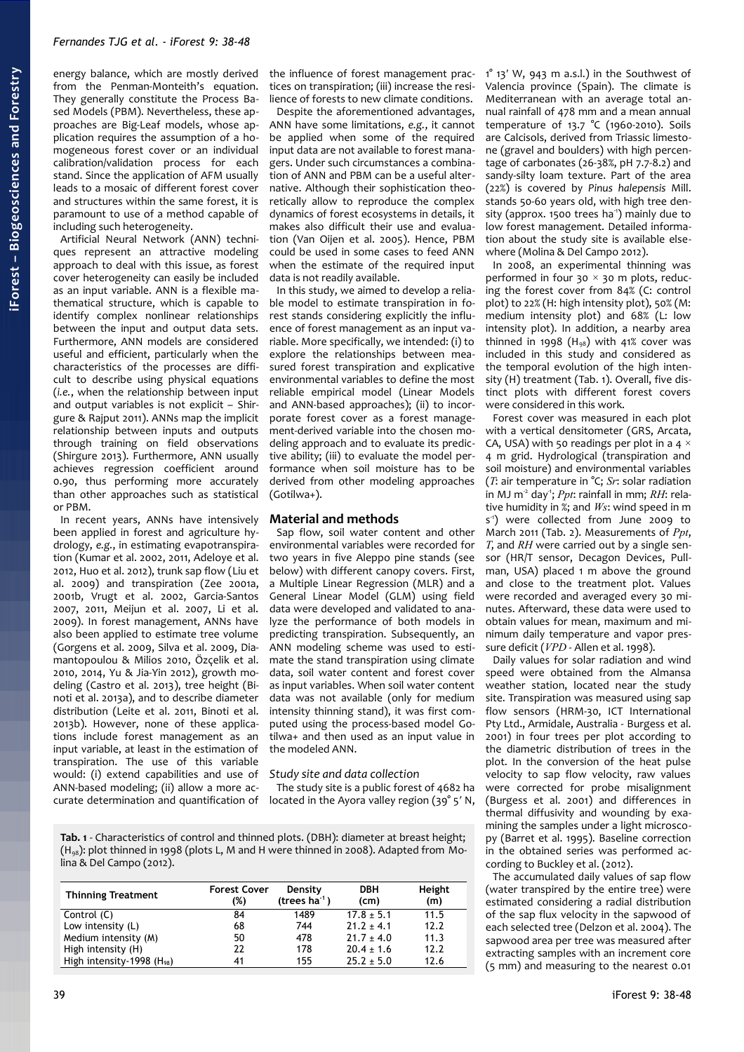energy balance, which are mostly derived from the Penman-Monteith's equation. They generally constitute the Process Based Models (PBM). Nevertheless, these approaches are Big-Leaf models, whose application requires the assumption of a homogeneous forest cover or an individual calibration/validation process for each stand. Since the application of AFM usually leads to a mosaic of different forest cover and structures within the same forest, it is paramount to use of a method capable of including such heterogeneity.

Artificial Neural Network (ANN) techniques represent an attractive modeling approach to deal with this issue, as forest cover heterogeneity can easily be included as an input variable. ANN is a flexible mathematical structure, which is capable to identify complex nonlinear relationships between the input and output data sets. Furthermore, ANN models are considered useful and efficient, particularly when the characteristics of the processes are difficult to describe using physical equations (*i.e.*, when the relationship between input and output variables is not explicit – Shirgure & Rajput 2011). ANNs map the implicit relationship between inputs and outputs through training on field observations (Shirgure 2013). Furthermore, ANN usually achieves regression coefficient around 0.90, thus performing more accurately than other approaches such as statistical or PBM.

In recent years, ANNs have intensively been applied in forest and agriculture hydrology, *e.g.*, in estimating evapotranspiration (Kumar et al. 2002, 2011, Adeloye et al. 2012, Huo et al. 2012), trunk sap flow (Liu et al. 2009) and transpiration (Zee 2001a, 2001b, Vrugt et al. 2002, Garcia-Santos 2007, 2011, Meijun et al. 2007, Li et al. 2009). In forest management, ANNs have also been applied to estimate tree volume (Gorgens et al. 2009, Silva et al. 2009, Diamantopoulou & Milios 2010, Özçelik et al. 2010, 2014, Yu & Jia-Yin 2012), growth modeling (Castro et al. 2013), tree height (Binoti et al. 2013a), and to describe diameter distribution (Leite et al. 2011, Binoti et al. 2013b). However, none of these applications include forest management as an input variable, at least in the estimation of transpiration. The use of this variable would: (i) extend capabilities and use of ANN-based modeling; (ii) allow a more accurate determination and quantification of

the influence of forest management practices on transpiration; (iii) increase the resilience of forests to new climate conditions.

Despite the aforementioned advantages, ANN have some limitations, *e.g.*, it cannot be applied when some of the required input data are not available to forest managers. Under such circumstances a combination of ANN and PBM can be a useful alternative. Although their sophistication theoretically allow to reproduce the complex dynamics of forest ecosystems in details, it makes also difficult their use and evaluation (Van Oijen et al. 2005). Hence, PBM could be used in some cases to feed ANN when the estimate of the required input data is not readily available.

In this study, we aimed to develop a reliable model to estimate transpiration in forest stands considering explicitly the influence of forest management as an input variable. More specifically, we intended: (i) to explore the relationships between measured forest transpiration and explicative environmental variables to define the most reliable empirical model (Linear Models and ANN-based approaches); (ii) to incorporate forest cover as a forest management-derived variable into the chosen modeling approach and to evaluate its predictive ability; (iii) to evaluate the model performance when soil moisture has to be derived from other modeling approaches (Gotilwa+).

# **Material and methods**

Sap flow, soil water content and other environmental variables were recorded for two years in five Aleppo pine stands (see below) with different canopy covers. First, a Multiple Linear Regression (MLR) and a General Linear Model (GLM) using field data were developed and validated to analyze the performance of both models in predicting transpiration. Subsequently, an ANN modeling scheme was used to estimate the stand transpiration using climate data, soil water content and forest cover as input variables. When soil water content data was not available (only for medium intensity thinning stand), it was first computed using the process-based model Gotilwa+ and then used as an input value in the modeled ANN.

# *Study site and data collection*

The study site is a public forest of 4682 ha located in the Ayora valley region (39° 5′ N,

<span id="page-1-0"></span>**Tab. 1** - Characteristics of control and thinned plots. (DBH): diameter at breast height;  $(H_{98})$ : plot thinned in 1998 (plots L, M and H were thinned in 2008). Adapted from Molina & Del Campo (2012).

| <b>Thinning Treatment</b>      | <b>Forest Cover</b><br>(%) | Density<br>(trees $ha^{-1}$ ) | <b>DBH</b><br>(c <sub>m</sub> ) | Height<br>(m) |
|--------------------------------|----------------------------|-------------------------------|---------------------------------|---------------|
| Control (C)                    | 84                         | 1489                          | $17.8 \pm 5.1$                  | 11.5          |
| Low intensity (L)              | 68                         | 744                           | $21.2 \pm 4.1$                  | 12.2          |
| Medium intensity (M)           | 50                         | 478                           | $21.7 \pm 4.0$                  | 11.3          |
| High intensity (H)             | 22                         | 178                           | $20.4 \pm 1.6$                  | 12.2          |
| High intensity-1998 $(H_{98})$ | 41                         | 155                           | $25.2 \pm 5.0$                  | 12.6          |

1° 13′ W, 943 m a.s.l.) in the Southwest of Valencia province (Spain). The climate is Mediterranean with an average total annual rainfall of 478 mm and a mean annual temperature of 13.7 °C (1960-2010). Soils are Calcisols, derived from Triassic limestone (gravel and boulders) with high percentage of carbonates (26-38%, pH 7.7-8.2) and sandy-silty loam texture. Part of the area (22%) is covered by *Pinus halepensis* Mill. stands 50-60 years old, with high tree density (approx. 1500 trees ha<sup>-1</sup>) mainly due to low forest management. Detailed information about the study site is available elsewhere (Molina & Del Campo 2012).

In 2008, an experimental thinning was performed in four 30  $\times$  30 m plots, reducing the forest cover from 84% (C: control plot) to 22% (H: high intensity plot), 50% (M: medium intensity plot) and 68% (L: low intensity plot). In addition, a nearby area thinned in 1998 ( $H_{98}$ ) with 41% cover was included in this study and considered as the temporal evolution of the high intensity (H) treatment [\(Tab. 1\)](#page-1-0). Overall, five distinct plots with different forest covers were considered in this work.

Forest cover was measured in each plot with a vertical densitometer (GRS, Arcata, CA, USA) with 50 readings per plot in a 4  $\times$ 4 m grid. Hydrological (transpiration and soil moisture) and environmental variables (*T*: air temperature in °C; *Sr*: solar radiation in MJ m-2 day-1; *Ppt*: rainfall in mm; *RH*: relative humidity in %; and *Ws*: wind speed in m s<sup>1</sup>) were collected from June 2009 to March 2011 [\(Tab. 2\)](#page-2-0). Measurements of *Ppt*, *T*, and *RH* were carried out by a single sensor (HR/T sensor, Decagon Devices, Pullman, USA) placed 1 m above the ground and close to the treatment plot. Values were recorded and averaged every 30 minutes. Afterward, these data were used to obtain values for mean, maximum and minimum daily temperature and vapor pressure deficit (*VPD* - Allen et al. 1998).

Daily values for solar radiation and wind speed were obtained from the Almansa weather station, located near the study site. Transpiration was measured using sap flow sensors (HRM-30, ICT International Pty Ltd., Armidale, Australia - Burgess et al. 2001) in four trees per plot according to the diametric distribution of trees in the plot. In the conversion of the heat pulse velocity to sap flow velocity, raw values were corrected for probe misalignment (Burgess et al. 2001) and differences in thermal diffusivity and wounding by examining the samples under a light microscopy (Barret et al. 1995). Baseline correction in the obtained series was performed according to Buckley et al. (2012).

The accumulated daily values of sap flow (water transpired by the entire tree) were estimated considering a radial distribution of the sap flux velocity in the sapwood of each selected tree (Delzon et al. 2004). The sapwood area per tree was measured after extracting samples with an increment core (5 mm) and measuring to the nearest 0.01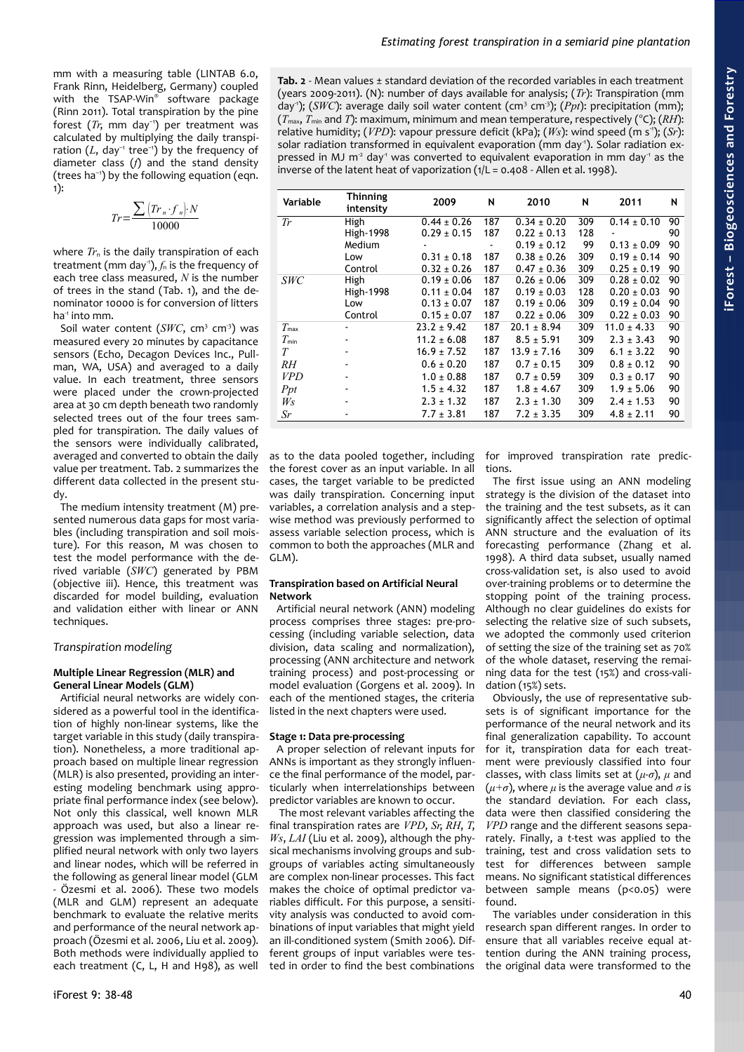mm with a measuring table (LINTAB 6.0, Frank Rinn, Heidelberg, Germany) coupled with the TSAP-Win® software package (Rinn 2011). Total transpiration by the pine forest (*Tr*, mm day−1) per treatment was calculated by multiplying the daily transpiration ( $L$ , day<sup>-1</sup> tree<sup>-1</sup>) by the frequency of diameter class (*f*) and the stand density (trees ha−1) by the following equation (eqn. 1):

$$
Tr = \frac{\sum (Tr_n \cdot f_n) \cdot N}{10000}
$$

where  $Tr_{n}$  is the daily transpiration of each treatment (mm day<sup>-1</sup>),  $f_n$  is the frequency of each tree class measured, *N* is the number of trees in the stand [\(Tab. 1\)](#page-1-0), and the denominator 10000 is for conversion of litters ha $<sup>4</sup>$  into mm.</sup>

Soil water content (SWC, cm<sup>3</sup> cm<sup>3</sup>) was measured every 20 minutes by capacitance sensors (Echo, Decagon Devices Inc., Pullman, WA, USA) and averaged to a daily value. In each treatment, three sensors were placed under the crown-projected area at 30 cm depth beneath two randomly selected trees out of the four trees sampled for transpiration. The daily values of the sensors were individually calibrated, averaged and converted to obtain the daily value per treatment. [Tab. 2](#page-2-0) summarizes the different data collected in the present study.

The medium intensity treatment (M) presented numerous data gaps for most variables (including transpiration and soil moisture). For this reason, M was chosen to test the model performance with the derived variable (*SWC*) generated by PBM (objective iii). Hence, this treatment was discarded for model building, evaluation and validation either with linear or ANN techniques.

### *Transpiration modeling*

### **Multiple Linear Regression (MLR) and General Linear Models (GLM)**

Artificial neural networks are widely considered as a powerful tool in the identification of highly non-linear systems, like the target variable in this study (daily transpiration). Nonetheless, a more traditional approach based on multiple linear regression (MLR) is also presented, providing an interesting modeling benchmark using appropriate final performance index (see below). Not only this classical, well known MLR approach was used, but also a linear regression was implemented through a simplified neural network with only two layers and linear nodes, which will be referred in the following as general linear model (GLM - Özesmi et al. 2006). These two models (MLR and GLM) represent an adequate benchmark to evaluate the relative merits and performance of the neural network approach (Özesmi et al. 2006, Liu et al. 2009). Both methods were individually applied to each treatment (C, L, H and H98), as well

<span id="page-2-0"></span>**Tab. 2** - Mean values ± standard deviation of the recorded variables in each treatment (years 2009-2011). (N): number of days available for analysis; (*Tr*): Transpiration (mm day<sup>-1</sup>); (*SWC*): average daily soil water content (cm<sup>3</sup> cm<sup>-3</sup>); (*Ppt*): precipitation (mm);  $(T_{\text{max}}, T_{\text{min}}$  and *T*): maximum, minimum and mean temperature, respectively ( $\degree$ C); (*RH*): relative humidity; (*VPD*): vapour pressure deficit (kPa); (*Ws*): wind speed (m s<sup>-1</sup>); (*Sr*): solar radiation transformed in equivalent evaporation (mm day<sup>1</sup>). Solar radiation expressed in MJ  $m^2$  day<sup>1</sup> was converted to equivalent evaporation in mm day<sup>1</sup> as the inverse of the latent heat of vaporization  $(1/L = 0.408 -$  Allen et al. 1998).

| Variable      | <b>Thinning</b><br>intensity | 2009            | N   | 2010            | N   | 2011            | N  |
|---------------|------------------------------|-----------------|-----|-----------------|-----|-----------------|----|
| Tr            | High                         | $0.44 \pm 0.26$ | 187 | $0.34 \pm 0.20$ | 309 | $0.14 \pm 0.10$ | 90 |
|               | <b>High-1998</b>             | $0.29 \pm 0.15$ | 187 | $0.22 \pm 0.13$ | 128 |                 | 90 |
|               | Medium                       |                 |     | $0.19 \pm 0.12$ | 99  | $0.13 \pm 0.09$ | 90 |
|               | Low                          | $0.31 \pm 0.18$ | 187 | $0.38 \pm 0.26$ | 309 | $0.19 \pm 0.14$ | 90 |
|               | Control                      | $0.32 \pm 0.26$ | 187 | $0.47 \pm 0.36$ | 309 | $0.25 \pm 0.19$ | 90 |
| <b>SWC</b>    | High                         | $0.19 \pm 0.06$ | 187 | $0.26 \pm 0.06$ | 309 | $0.28 \pm 0.02$ | 90 |
|               | <b>High-1998</b>             | $0.11 \pm 0.04$ | 187 | $0.19 \pm 0.03$ | 128 | $0.20 \pm 0.03$ | 90 |
|               | Low                          | $0.13 \pm 0.07$ | 187 | $0.19 \pm 0.06$ | 309 | $0.19 \pm 0.04$ | 90 |
|               | Control                      | $0.15 \pm 0.07$ | 187 | $0.22 \pm 0.06$ | 309 | $0.22 \pm 0.03$ | 90 |
| $T_{\rm max}$ |                              | $23.2 \pm 9.42$ | 187 | $20.1 \pm 8.94$ | 309 | $11.0 \pm 4.33$ | 90 |
| $T_{\min}$    |                              | $11.2 \pm 6.08$ | 187 | $8.5 \pm 5.91$  | 309 | $2.3 \pm 3.43$  | 90 |
| T             |                              | $16.9 \pm 7.52$ | 187 | $13.9 \pm 7.16$ | 309 | $6.1 \pm 3.22$  | 90 |
| RH            |                              | $0.6 \pm 0.20$  | 187 | $0.7 \pm 0.15$  | 309 | $0.8 \pm 0.12$  | 90 |
| <b>VPD</b>    |                              | $1.0 \pm 0.88$  | 187 | $0.7 \pm 0.59$  | 309 | $0.3 \pm 0.17$  | 90 |
| Ppt           | ٠                            | $1.5 \pm 4.32$  | 187 | $1.8 \pm 4.67$  | 309 | $1.9 \pm 5.06$  | 90 |
| $W_S$         | ٠                            | $2.3 \pm 1.32$  | 187 | $2.3 \pm 1.30$  | 309 | $2.4 \pm 1.53$  | 90 |
| Sr            | ۰                            | $7.7 \pm 3.81$  | 187 | $7.2 \pm 3.35$  | 309 | $4.8 \pm 2.11$  | 90 |

as to the data pooled together, including the forest cover as an input variable. In all cases, the target variable to be predicted was daily transpiration. Concerning input variables, a correlation analysis and a stepwise method was previously performed to assess variable selection process, which is common to both the approaches (MLR and GLM).

# **Transpiration based on Artificial Neural Network**

Artificial neural network (ANN) modeling process comprises three stages: pre-processing (including variable selection, data division, data scaling and normalization), processing (ANN architecture and network training process) and post-processing or model evaluation (Gorgens et al. 2009). In each of the mentioned stages, the criteria listed in the next chapters were used.

### **Stage 1: Data pre-processing**

A proper selection of relevant inputs for ANNs is important as they strongly influence the final performance of the model, particularly when interrelationships between predictor variables are known to occur.

 The most relevant variables affecting the final transpiration rates are *VPD*, *Sr*, *RH*, *T*, *Ws*, *LAI* (Liu et al. 2009), although the physical mechanisms involving groups and subgroups of variables acting simultaneously are complex non-linear processes. This fact makes the choice of optimal predictor variables difficult. For this purpose, a sensitivity analysis was conducted to avoid combinations of input variables that might yield an ill-conditioned system (Smith 2006). Different groups of input variables were tested in order to find the best combinations

for improved transpiration rate predictions.

The first issue using an ANN modeling strategy is the division of the dataset into the training and the test subsets, as it can significantly affect the selection of optimal ANN structure and the evaluation of its forecasting performance (Zhang et al. 1998). A third data subset, usually named cross-validation set, is also used to avoid over-training problems or to determine the stopping point of the training process. Although no clear guidelines do exists for selecting the relative size of such subsets, we adopted the commonly used criterion of setting the size of the training set as 70% of the whole dataset, reserving the remaining data for the test (15%) and cross-validation (15%) sets.

Obviously, the use of representative subsets is of significant importance for the performance of the neural network and its final generalization capability. To account for it, transpiration data for each treatment were previously classified into four classes, with class limits set at (*μ*-*σ*), *μ* and  $(\mu + \sigma)$ , where  $\mu$  is the average value and  $\sigma$  is the standard deviation. For each class, data were then classified considering the *VPD* range and the different seasons separately. Finally, a *t*-test was applied to the training, test and cross validation sets to test for differences between sample means. No significant statistical differences between sample means (p<0.05) were found.

The variables under consideration in this research span different ranges. In order to ensure that all variables receive equal attention during the ANN training process, the original data were transformed to the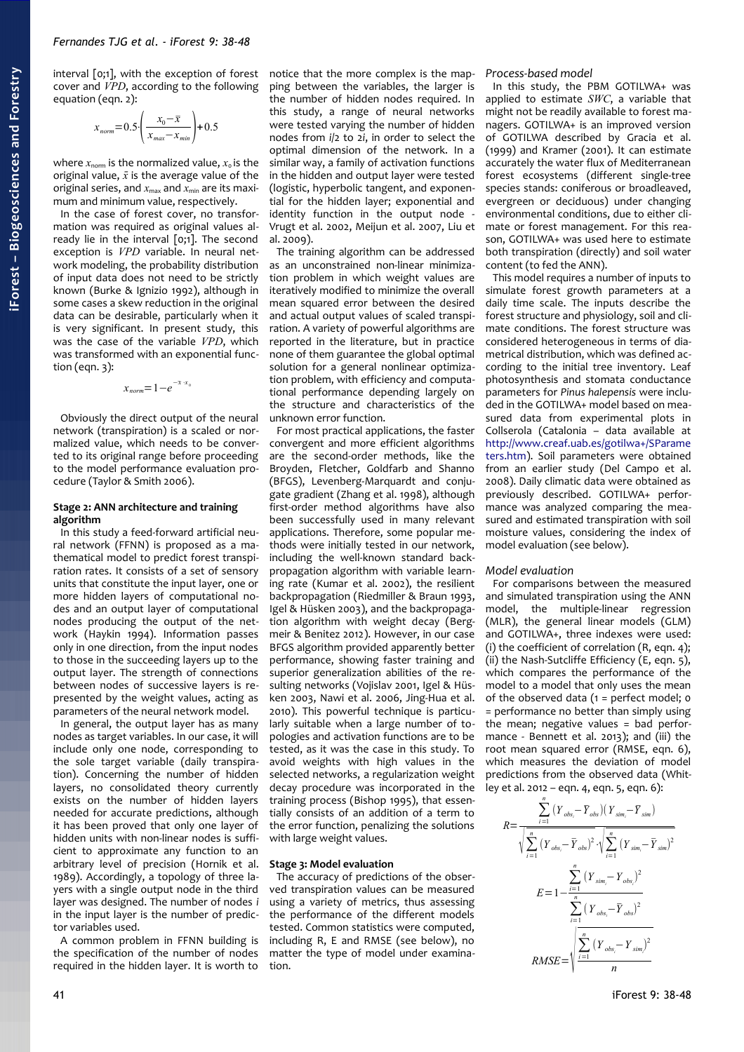interval [0;1], with the exception of forest cover and *VPD*, according to the following equation (eqn. 2):

$$
x_{norm} = 0.5 \cdot \left( \frac{x_0 - \bar{x}}{x_{max} - x_{min}} \right) + 0.5
$$

where  $x_{\text{norm}}$  is the normalized value,  $x_{0}$  is the original value,  $\bar{x}$  is the average value of the original series, and  $x_{\text{max}}$  and  $x_{\text{min}}$  are its maximum and minimum value, respectively.

In the case of forest cover, no transformation was required as original values already lie in the interval [0;1]. The second exception is *VPD* variable. In neural network modeling, the probability distribution of input data does not need to be strictly known (Burke & Ignizio 1992), although in some cases a skew reduction in the original data can be desirable, particularly when it is very significant. In present study, this was the case of the variable *VPD*, which was transformed with an exponential function (eqn.  $3$ ):

$$
x_{norm} = 1 - e^{-\bar{x} \cdot x_0}
$$

Obviously the direct output of the neural network (transpiration) is a scaled or normalized value, which needs to be converted to its original range before proceeding to the model performance evaluation procedure (Taylor & Smith 2006).

## **Stage 2: ANN architecture and training algorithm**

In this study a feed-forward artificial neural network (FFNN) is proposed as a mathematical model to predict forest transpiration rates. It consists of a set of sensory units that constitute the input layer, one or more hidden layers of computational nodes and an output layer of computational nodes producing the output of the network (Haykin 1994). Information passes only in one direction, from the input nodes to those in the succeeding layers up to the output layer. The strength of connections between nodes of successive layers is represented by the weight values, acting as parameters of the neural network model.

In general, the output layer has as many nodes as target variables. In our case, it will include only one node, corresponding to the sole target variable (daily transpiration). Concerning the number of hidden layers, no consolidated theory currently exists on the number of hidden layers needed for accurate predictions, although it has been proved that only one layer of hidden units with non-linear nodes is sufficient to approximate any function to an arbitrary level of precision (Hornik et al. 1989). Accordingly, a topology of three layers with a single output node in the third layer was designed. The number of nodes *i* in the input layer is the number of predictor variables used.

A common problem in FFNN building is the specification of the number of nodes required in the hidden layer. It is worth to notice that the more complex is the mapping between the variables, the larger is the number of hidden nodes required. In this study, a range of neural networks were tested varying the number of hidden nodes from *i*/2 to 2*i*, in order to select the optimal dimension of the network. In a similar way, a family of activation functions in the hidden and output layer were tested (logistic, hyperbolic tangent, and exponential for the hidden layer; exponential and identity function in the output node - Vrugt et al. 2002, Meijun et al. 2007, Liu et al. 2009).

The training algorithm can be addressed as an unconstrained non-linear minimization problem in which weight values are iteratively modified to minimize the overall mean squared error between the desired and actual output values of scaled transpiration. A variety of powerful algorithms are reported in the literature, but in practice none of them guarantee the global optimal solution for a general nonlinear optimization problem, with efficiency and computational performance depending largely on the structure and characteristics of the unknown error function.

For most practical applications, the faster convergent and more efficient algorithms are the second-order methods, like the Broyden, Fletcher, Goldfarb and Shanno (BFGS), Levenberg-Marquardt and conjugate gradient (Zhang et al. 1998), although first-order method algorithms have also been successfully used in many relevant applications. Therefore, some popular methods were initially tested in our network, including the well-known standard backpropagation algorithm with variable learning rate (Kumar et al. 2002), the resilient backpropagation (Riedmiller & Braun 1993, Igel & Hüsken 2003), and the backpropagation algorithm with weight decay (Bergmeir & Benitez 2012). However, in our case BFGS algorithm provided apparently better performance, showing faster training and superior generalization abilities of the resulting networks (Vojislav 2001, Igel & Hüsken 2003, Nawi et al. 2006, Jing-Hua et al. 2010). This powerful technique is particularly suitable when a large number of topologies and activation functions are to be tested, as it was the case in this study. To avoid weights with high values in the selected networks, a regularization weight decay procedure was incorporated in the training process (Bishop 1995), that essentially consists of an addition of a term to the error function, penalizing the solutions with large weight values.

### **Stage 3: Model evaluation**

The accuracy of predictions of the observed transpiration values can be measured using a variety of metrics, thus assessing the performance of the different models tested. Common statistics were computed, including R, E and RMSE (see below), no matter the type of model under examination.

*Process-based model*

In this study, the PBM GOTILWA+ was applied to estimate *SWC*, a variable that might not be readily available to forest managers. GOTILWA+ is an improved version of GOTILWA described by Gracia et al. (1999) and Kramer (2001). It can estimate accurately the water flux of Mediterranean forest ecosystems (different single-tree species stands: coniferous or broadleaved, evergreen or deciduous) under changing environmental conditions, due to either climate or forest management. For this reason, GOTILWA+ was used here to estimate both transpiration (directly) and soil water content (to fed the ANN).

This model requires a number of inputs to simulate forest growth parameters at a daily time scale. The inputs describe the forest structure and physiology, soil and climate conditions. The forest structure was considered heterogeneous in terms of diametrical distribution, which was defined according to the initial tree inventory. Leaf photosynthesis and stomata conductance parameters for *Pinus halepensis* were included in the GOTILWA+ model based on measured data from experimental plots in Collserola (Catalonia – data available at [http://www.creaf.uab.es/gotilwa+/SParame](http://www.creaf.uab.es/gotilwa+/SParameters.htm) [ters.htm\)](http://www.creaf.uab.es/gotilwa+/SParameters.htm). Soil parameters were obtained from an earlier study (Del Campo et al. 2008). Daily climatic data were obtained as previously described. GOTILWA+ performance was analyzed comparing the measured and estimated transpiration with soil moisture values, considering the index of model evaluation (see below).

#### *Model evaluation*

For comparisons between the measured and simulated transpiration using the ANN model, the multiple-linear regression (MLR), the general linear models (GLM) and GOTILWA+, three indexes were used: (i) the coefficient of correlation (R, eqn. 4); (ii) the Nash-Sutcliffe Efficiency (E, eqn. 5), which compares the performance of the model to a model that only uses the mean of the observed data  $(1 =$  perfect model:  $\circ$ = performance no better than simply using the mean; negative values = bad performance - Bennett et al. 2013); and (iii) the root mean squared error (RMSE, eqn. 6), which measures the deviation of model predictions from the observed data (Whitley et al. 2012 – eqn. 4, eqn. 5, eqn. 6):

$$
R = \frac{\sum_{i=1}^{n} (Y_{obs_i} - \overline{Y}_{obs})(Y_{sim_i} - \overline{Y}_{sim})}{\sqrt{\sum_{i=1}^{n} (Y_{obs_i} - \overline{Y}_{obs})^2} \cdot \sqrt{\sum_{i=1}^{n} (Y_{sim_i} - \overline{Y}_{sim})^2}}
$$

$$
E = 1 - \frac{\sum_{i=1}^{n} (Y_{sim_i} - Y_{obs_i})^2}{\sum_{i=1}^{n} (Y_{obs_i} - \overline{Y}_{obs})^2}
$$

$$
RMSE = \sqrt{\frac{\sum_{i=1}^{n} (Y_{obs_i} - Y_{sim})^2}{n}}
$$

41 **a** a set of the set of the set of the set of the set of the set of the set of the set of the set of the set of the set of the set of the set of the set of the set of the set of the set of the set of the set of the set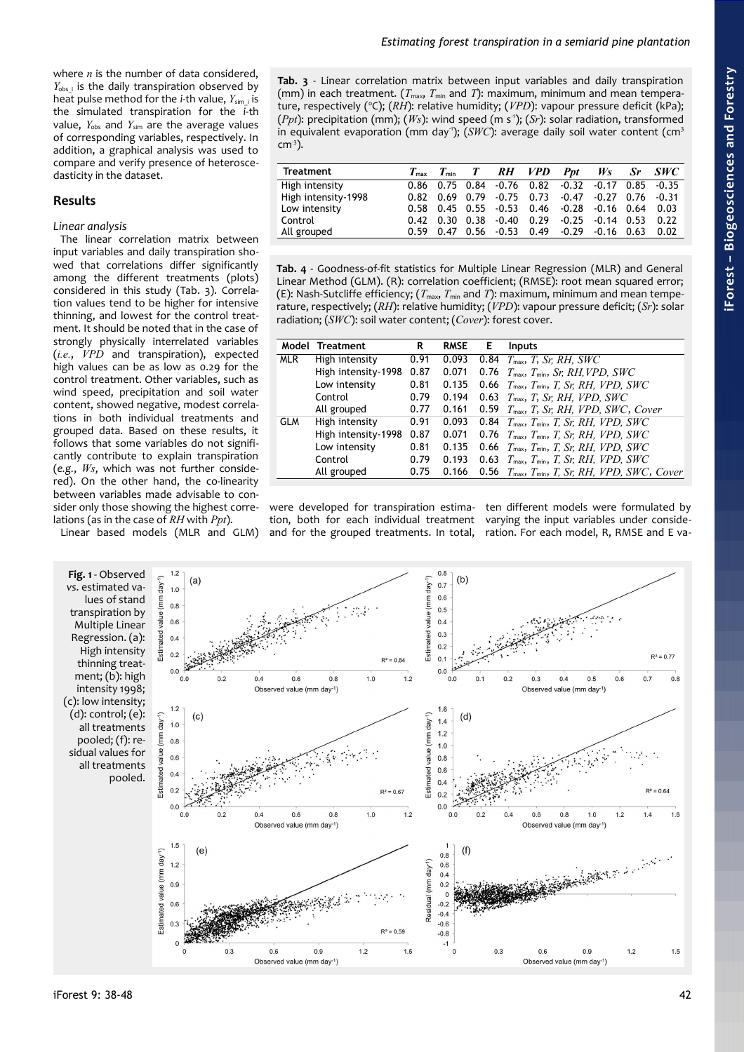where *n* is the number of data considered,  $Y_{\text{obs}}$  is the daily transpiration observed by heat pulse method for the *i*-th value, *Y*sim\_i is the simulated transpiration for the *i*-th value,  $Y_{obs}$  and  $Y_{sim}$  are the average values of corresponding variables, respectively. In addition, a graphical analysis was used to compare and verify presence of heteroscedasticity in the dataset.

# **Results**

## *Linear analysis*

The linear correlation matrix between input variables and daily transpiration showed that correlations differ significantly among the different treatments (plots) considered in this study [\(Tab. 3\)](#page-4-0). Correlation values tend to be higher for intensive thinning, and lowest for the control treatment. It should be noted that in the case of strongly physically interrelated variables (*i.e.*, *VPD* and transpiration), expected high values can be as low as 0.29 for the control treatment. Other variables, such as wind speed, precipitation and soil water content, showed negative, modest correlations in both individual treatments and grouped data. Based on these results, it follows that some variables do not significantly contribute to explain transpiration (*e.g.*, *Ws*, which was not further considered). On the other hand, the co-linearity between variables made advisable to consider only those showing the highest correlations (as in the case of *RH* with *Ppt*).

Linear based models (MLR and GLM)

<span id="page-4-0"></span>**Tab. 3** - Linear correlation matrix between input variables and daily transpiration (mm) in each treatment. ( $T_{\text{max}}$ ,  $T_{\text{min}}$  and *T*): maximum, minimum and mean temperature, respectively (°C); (RH): relative humidity; (VPD): vapour pressure deficit (kPa); (*Ppt*): precipitation (mm); (*Ws*): wind speed (m s<sup>-1</sup>); (*Sr*): solar radiation, transformed in equivalent evaporation (mm day<sup>-1</sup>); (*SWC*): average daily soil water content (cm<sup>3</sup>  $cm<sup>3</sup>$ ).

| Treatment           |  |                                    | $T_{\text{max}}$ $T_{\text{min}}$ $T$ RH VPD Ppt Ws Sr SWC     |                               |  |
|---------------------|--|------------------------------------|----------------------------------------------------------------|-------------------------------|--|
| High intensity      |  |                                    | 0.86 0.75 0.84 0.76 0.82 -0.32 -0.17 0.85 -0.35                |                               |  |
| High intensity-1998 |  |                                    | $0.82$ $0.69$ $0.79$ $0.75$ $0.73$ $0.47$ $0.27$ $0.76$ $0.31$ |                               |  |
| Low intensity       |  |                                    | $0.58$ 0.45 0.55 $-0.53$ 0.46 $-0.28$ 0.16 0.64 0.03           |                               |  |
| Control             |  | $0.42$ $0.30$ $0.38$ $0.40$ $0.29$ |                                                                | $-0.25$ $-0.14$ $0.53$ $0.22$ |  |
| All grouped         |  |                                    | $0.59$ 0.47 0.56 $-0.53$ 0.49 $-0.29$ $-0.16$ 0.63 0.02        |                               |  |

<span id="page-4-1"></span>**Tab. 4** - Goodness-of-fit statistics for Multiple Linear Regression (MLR) and General Linear Method (GLM). (R): correlation coefficient; (RMSE): root mean squared error; (E): Nash-Sutcliffe efficiency;  $(T_{\text{max}}, T_{\text{min}}$  and *T*): maximum, minimum and mean temperature, respectively; (*RH*): relative humidity; (*VPD*): vapour pressure deficit; (*Sr*): solar radiation; (*SWC*): soil water content; (*Cover*): forest cover.

| Model      | Treatment           | R    | <b>RMSE</b> | Е    | <b>Inputs</b>                                                                              |
|------------|---------------------|------|-------------|------|--------------------------------------------------------------------------------------------|
| <b>MLR</b> | High intensity      | 0.91 | 0.093       | 0.84 | $T_{\text{max}}$ , T, Sr, RH, SWC                                                          |
|            | High intensity-1998 | 0.87 | 0.071       |      | 0.76 $T_{\text{max}}$ , $T_{\text{min}}$ , <i>Sr</i> , <i>RH</i> , <i>VPD</i> , <i>SWC</i> |
|            | Low intensity       | 0.81 | 0.135       |      | 0.66 $T_{\text{max}}$ , $T_{\text{min}}$ , T, Sr, RH, VPD, SWC                             |
|            | Control             | 0.79 | 0.194       | 0.63 | $T_{\text{max}}$ , T, Sr, RH, VPD, SWC                                                     |
|            | All grouped         | 0.77 | 0.161       | 0.59 | $T_{\text{max}}$ , T, Sr, RH, VPD, SWC, Cover                                              |
| <b>GLM</b> | High intensity      | 0.91 | 0.093       |      | 0.84 $T_{\text{max}}$ , $T_{\text{min}}$ , $T$ , $S$ r, RH, VPD, SWC                       |
|            | High intensity-1998 | 0.87 | 0.071       | 0.76 | $T_{\text{max}}$ , $T_{\text{min}}$ , T, Sr, RH, VPD, SWC                                  |
|            | Low intensity       | 0.81 | 0.135       |      | 0.66 $T_{\text{max}}$ , $T_{\text{min}}$ , T, Sr, RH, VPD, SWC                             |
|            | Control             | 0.79 | 0.193       | 0.63 | $T_{\text{max}}$ , $T_{\text{min}}$ , T, Sr, RH, VPD, SWC                                  |
|            | All grouped         | 0.75 | 0.166       |      | 0.56 $T_{\text{max}}$ , $T_{\text{min}}$ , T, Sr, RH, VPD, SWC, Cover                      |
|            |                     |      |             |      |                                                                                            |

were developed for transpiration estima-ten different models were formulated by tion, both for each individual treatment varying the input variables under consideand for the grouped treatments. In total, ration. For each model, R, RMSE and E va-

<span id="page-4-2"></span>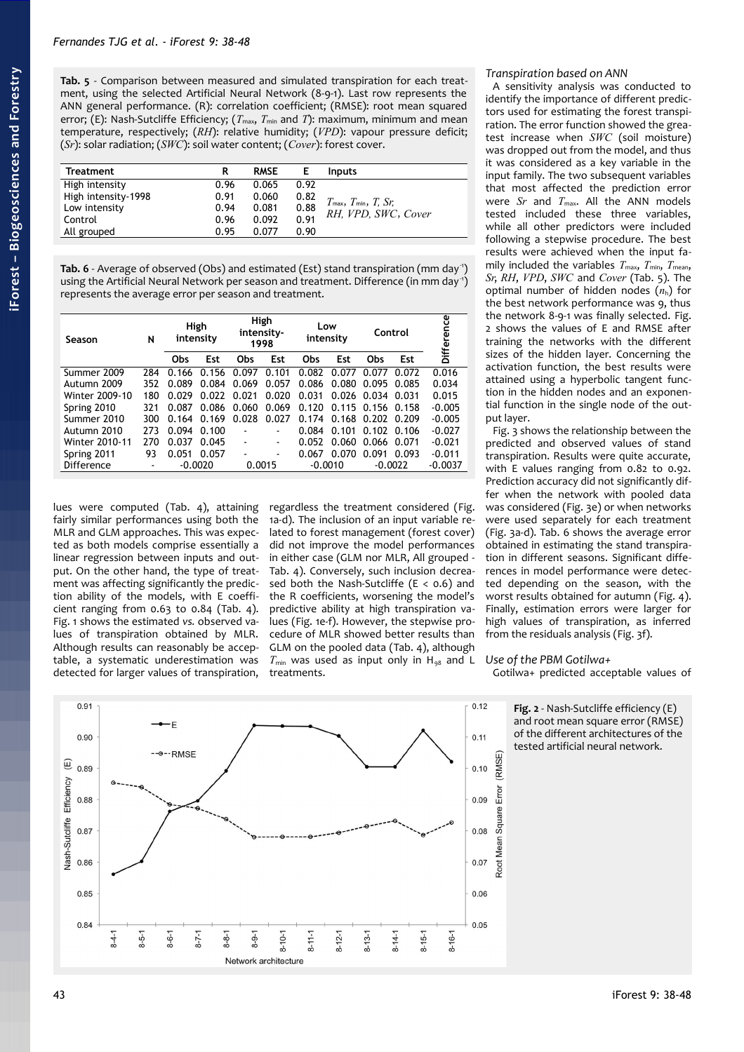<span id="page-5-2"></span>**Tab. 5** - Comparison between measured and simulated transpiration for each treatment, using the selected Artificial Neural Network (8-9-1). Last row represents the ANN general performance. (R): correlation coefficient; (RMSE): root mean squared error; (E): Nash-Sutcliffe Efficiency; ( $T_{\text{max}}$ ,  $T_{\text{min}}$  and *T*): maximum, minimum and mean temperature, respectively; (*RH*): relative humidity; (*VPD*): vapour pressure deficit; (*Sr*): solar radiation; (*SWC*): soil water content; (*Cover*): forest cover.

| <b>Treatment</b>    | R    | <b>RMSE</b> | Е    | <b>Inputs</b>                                                   |
|---------------------|------|-------------|------|-----------------------------------------------------------------|
| High intensity      | 0.96 | 0.065       | 0.92 |                                                                 |
| High intensity-1998 | 0.91 | 0.060       | 0.82 | $T_{\text{max}}$ , $T_{\text{min}}$ , $T_{\text{max}}$ , $S$ r; |
| Low intensity       | 0.94 | 0.081       | 0.88 | RH. VPD. SWC, Cover                                             |
| Control             | 0.96 | 0.092       | 0.91 |                                                                 |
| All grouped         | 0.95 | 0.077       | 0.90 |                                                                 |

<span id="page-5-0"></span>Tab. 6 - Average of observed (Obs) and estimated (Est) stand transpiration (mm day<sup>-1</sup>) using the Artificial Neural Network per season and treatment. Difference (in mm day-1) represents the average error per season and treatment.

| N<br>Season           |     | High<br>intensity |           | High<br>intensity-<br>1998 |                | Low<br>intensity |           | Control |           | Difference |
|-----------------------|-----|-------------------|-----------|----------------------------|----------------|------------------|-----------|---------|-----------|------------|
|                       |     | Obs               | Est       | Obs                        | Est            | Obs              | Est       | Obs     | Est       |            |
| Summer 2009           | 284 | 0.166             | 0.156     | 0.097                      | 0.101          | 0.082            | 0.077     | 0.077   | 0.072     | 0.016      |
| Autumn 2009           | 352 | 0.089             | 0.084     | 0.069                      | 0.057          | 0.086            | 0.080     | 0.095   | 0.085     | 0.034      |
| Winter 2009-10        | 180 | 0.029             | 0.022     | 0.021                      | 0.020          | 0.031            | 0.026     | 0.034   | 0.031     | 0.015      |
| Spring 2010           | 321 | 0.087             | 0.086     | 0.060                      | 0.069          | 0.120            | 0.115     | 0.156   | 0.158     | $-0.005$   |
| Summer 2010           | 300 | 0.164             | 0.169     | 0.028                      | 0.027          | 0.174            | 0.168     | 0.202   | 0.209     | $-0.005$   |
| Autumn 2010           | 273 | 0.094             | 0.100     | ٠                          |                | 0.084            | 0.101     | 0.102   | 0.106     | $-0.027$   |
| <b>Winter 2010-11</b> | 270 | 0.037             | 0.045     | $\blacksquare$             | ۰              | 0.052            | 0.060     | 0.066   | 0.071     | $-0.021$   |
| Spring 2011           | 93  | 0.051             | 0.057     | ٠                          | $\blacksquare$ | 0.067            | 0.070     | 0.091   | 0.093     | $-0.011$   |
| Difference            |     |                   | $-0.0020$ |                            | 0.0015         |                  | $-0.0010$ |         | $-0.0022$ | $-0.0037$  |

lues were computed [\(Tab. 4\)](#page-4-1), attaining fairly similar performances using both the MLR and GLM approaches. This was expected as both models comprise essentially a linear regression between inputs and output. On the other hand, the type of treatment was affecting significantly the prediction ability of the models, with E coefficient ranging from 0.63 to 0.84 [\(Tab. 4\)](#page-4-1). [Fig. 1](#page-4-2) shows the estimated *vs.* observed values of transpiration obtained by MLR. Although results can reasonably be acceptable, a systematic underestimation was detected for larger values of transpiration,

regardless the treatment considered [\(Fig.](#page-4-2) [1a](#page-4-2)-d). The inclusion of an input variable related to forest management (forest cover) did not improve the model performances in either case (GLM nor MLR, All grouped - [Tab. 4\)](#page-4-1). Conversely, such inclusion decreased both the Nash-Sutcliffe ( $E < 0.6$ ) and the R coefficients, worsening the model's predictive ability at high transpiration values [\(Fig. 1e](#page-4-2)-f). However, the stepwise procedure of MLR showed better results than GLM on the pooled data [\(Tab. 4\)](#page-4-1), although  $T_{\text{min}}$  was used as input only in H<sub>98</sub> and L treatments.

# *Transpiration based on ANN*

A sensitivity analysis was conducted to identify the importance of different predictors used for estimating the forest transpiration. The error function showed the greatest increase when *SWC* (soil moisture) was dropped out from the model, and thus it was considered as a key variable in the input family. The two subsequent variables that most affected the prediction error were *Sr* and  $T_{\text{max}}$ . All the ANN models tested included these three variables, while all other predictors were included following a stepwise procedure. The best results were achieved when the input family included the variables  $T_{\text{max}}$ ,  $T_{\text{min}}$ ,  $T_{\text{mean}}$ , *Sr*, *RH*, *VPD*, *SWC* and *Cover* [\(Tab. 5\)](#page-5-2). The optimal number of hidden nodes  $(n<sub>h</sub>)$  for the best network performance was 9, thus the network 8-9-1 was finally selected. [Fig.](#page-5-1) [2](#page-5-1) shows the values of E and RMSE after training the networks with the different sizes of the hidden layer. Concerning the activation function, the best results were attained using a hyperbolic tangent function in the hidden nodes and an exponential function in the single node of the output layer.

[Fig. 3](#page-6-0) shows the relationship between the predicted and observed values of stand transpiration. Results were quite accurate, with E values ranging from 0.82 to 0.92. Prediction accuracy did not significantly differ when the network with pooled data was considered [\(Fig. 3e](#page-6-0)) or when networks were used separately for each treatment [\(Fig. 3a](#page-6-0)-d). [Tab. 6](#page-5-0) shows the average error obtained in estimating the stand transpiration in different seasons. Significant differences in model performance were detected depending on the season, with the worst results obtained for autumn [\(Fig. 4\)](#page-6-1). Finally, estimation errors were larger for high values of transpiration, as inferred from the residuals analysis [\(Fig. 3f](#page-6-0)).

# *Use of the PBM Gotilwa+*

Gotilwa+ predicted acceptable values of

 $0.91$  $0.12$  $0.90$  $0.11$ **RMSF** (RMSE) E) 0.89  $0.10$ **Jash-Sutcliffe Efficiency** Error  $0.09$ 0.88 Root Mean Square 0.08  $0.87$ 0.86 0.07 0.85  $0.06$ 0.84  $0.05$  $8 - 16 - 1$  $3-4-1$  $8 - 11 - 1$  $8 - 15 - 1$  $3 - 5 - 1$  $3 - 6 - 1$  $8 - 7 - 1$  $3 - 8 - 1$  $8 - 10 - 1$  $8 - 12 - 1$  $8 - 14 - 1$  $8 - 9 - 1$  $8 - 13 - 1$ Network architecture

<span id="page-5-1"></span>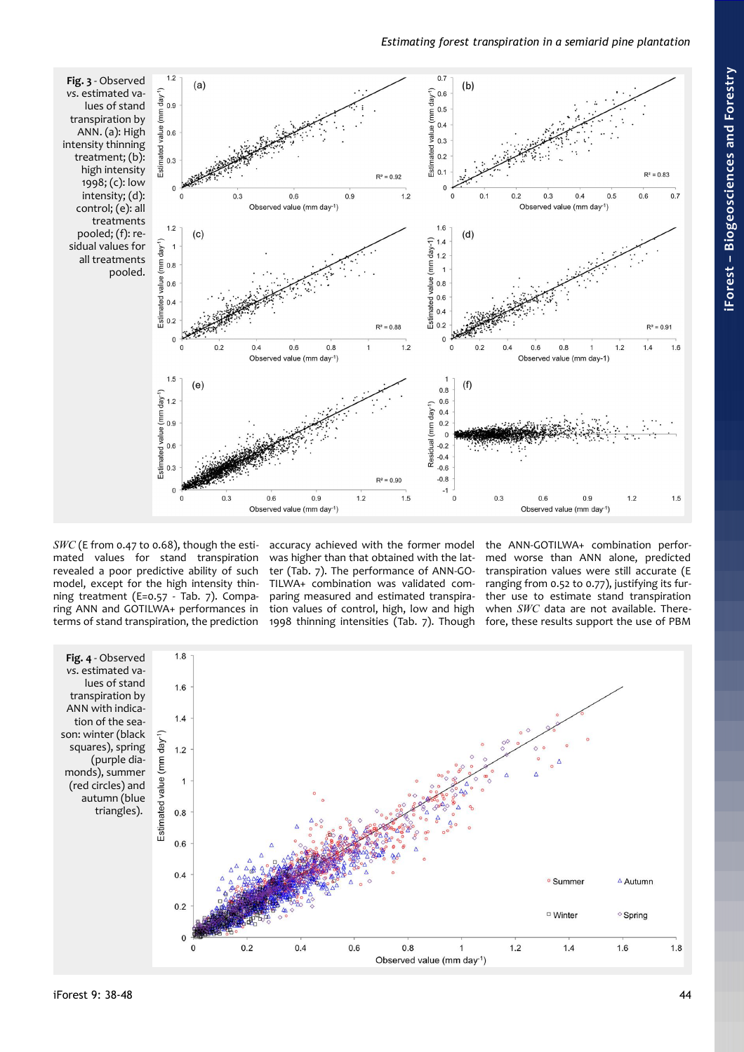# *Estimating forest transpiration in a semiarid pine plantation*

<span id="page-6-0"></span>

*SWC* (E from 0.47 to 0.68), though the estimated values for stand transpiration revealed a poor predictive ability of such model, except for the high intensity thinning treatment (E=0.57 - [Tab. 7\)](#page-7-0). Comparing ANN and GOTILWA+ performances in terms of stand transpiration, the prediction accuracy achieved with the former model was higher than that obtained with the latter [\(Tab. 7\)](#page-7-0). The performance of ANN-GO-TILWA+ combination was validated comparing measured and estimated transpiration values of control, high, low and high 1998 thinning intensities [\(Tab. 7\)](#page-7-0). Though the ANN-GOTILWA+ combination performed worse than ANN alone, predicted transpiration values were still accurate (E ranging from 0.52 to 0.77), justifying its further use to estimate stand transpiration when *SWC* data are not available. Therefore, these results support the use of PBM

<span id="page-6-1"></span>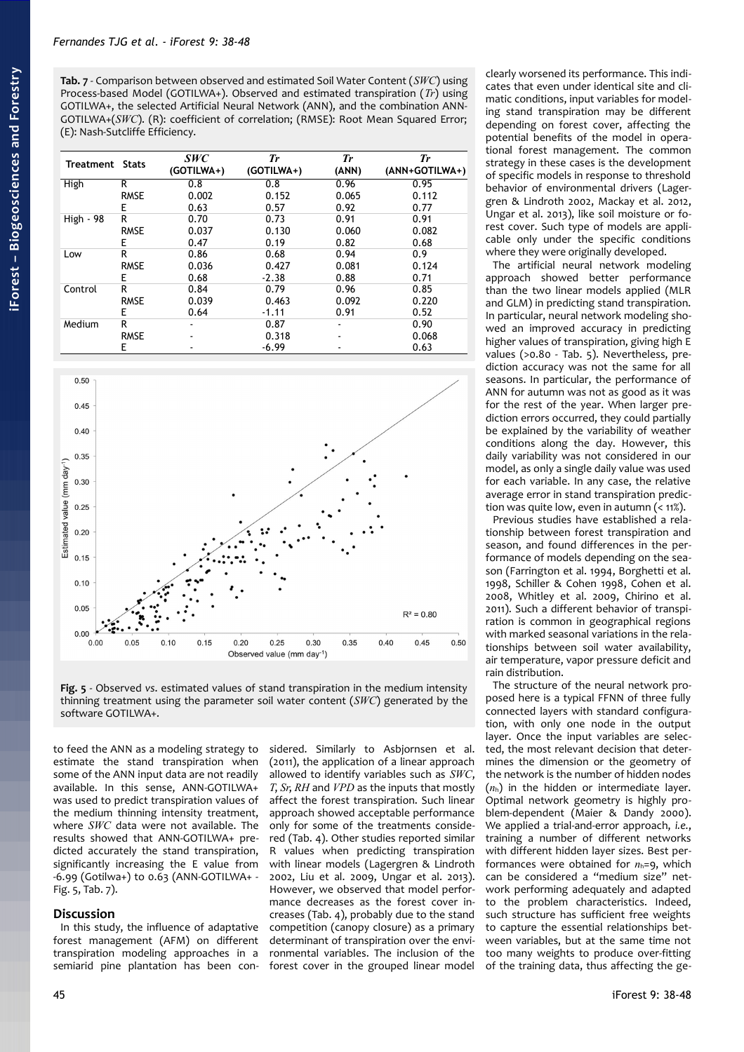<span id="page-7-0"></span>**Tab. 7** - Comparison between observed and estimated Soil Water Content (*SWC*) using Process-based Model (GOTILWA+). Observed and estimated transpiration (*Tr*) using GOTILWA+, the selected Artificial Neural Network (ANN), and the combination ANN-GOTILWA+(*SWC*). (R): coefficient of correlation; (RMSE): Root Mean Squared Error; (E): Nash-Sutcliffe Efficiency.

| Treatment Stats |             | <b>SWC</b><br>(GOTILWA+) | Tr<br>(GOTILWA+) | <b>Tr</b><br>(ANN) | Tr<br>(ANN+GOTILWA+) |
|-----------------|-------------|--------------------------|------------------|--------------------|----------------------|
| High            | R           | 0.8                      | 0.8              | 0.96               | 0.95                 |
|                 | <b>RMSE</b> | 0.002                    | 0.152            | 0.065              | 0.112                |
|                 | E           | 0.63                     | 0.57             | 0.92               | 0.77                 |
| High - 98       | R           | 0.70                     | 0.73             | 0.91               | 0.91                 |
|                 | <b>RMSE</b> | 0.037                    | 0.130            | 0.060              | 0.082                |
|                 | E           | 0.47                     | 0.19             | 0.82               | 0.68                 |
| Low             | R           | 0.86                     | 0.68             | 0.94               | 0.9                  |
|                 | <b>RMSE</b> | 0.036                    | 0.427            | 0.081              | 0.124                |
|                 | E           | 0.68                     | $-2.38$          | 0.88               | 0.71                 |
| Control         | R           | 0.84                     | 0.79             | 0.96               | 0.85                 |
|                 | <b>RMSE</b> | 0.039                    | 0.463            | 0.092              | 0.220                |
|                 | E           | 0.64                     | $-1.11$          | 0.91               | 0.52                 |
| Medium          | R           |                          | 0.87             |                    | 0.90                 |
|                 | <b>RMSE</b> |                          | 0.318            |                    | 0.068                |
|                 | E           |                          | $-6.99$          |                    | 0.63                 |



<span id="page-7-1"></span>**Fig. 5** - Observed *vs*. estimated values of stand transpiration in the medium intensity thinning treatment using the parameter soil water content (*SWC*) generated by the software GOTILWA+.

to feed the ANN as a modeling strategy to estimate the stand transpiration when some of the ANN input data are not readily available. In this sense, ANN-GOTILWA+ was used to predict transpiration values of the medium thinning intensity treatment, where *SWC* data were not available. The results showed that ANN-GOTILWA+ predicted accurately the stand transpiration, significantly increasing the E value from -6.99 (Gotilwa+) to 0.63 (ANN-GOTILWA+ - [Fig. 5,](#page-7-1) [Tab. 7\)](#page-7-0).

# **Discussion**

In this study, the influence of adaptative forest management (AFM) on different transpiration modeling approaches in a semiarid pine plantation has been con-

sidered. Similarly to Asbjornsen et al. (2011), the application of a linear approach allowed to identify variables such as *SWC*, *T*, *Sr*, *RH* and *VPD* as the inputs that mostly affect the forest transpiration. Such linear approach showed acceptable performance only for some of the treatments considered [\(Tab. 4\)](#page-4-1). Other studies reported similar R values when predicting transpiration with linear models (Lagergren & Lindroth 2002, Liu et al. 2009, Ungar et al. 2013). However, we observed that model performance decreases as the forest cover increases [\(Tab. 4\)](#page-4-1), probably due to the stand competition (canopy closure) as a primary determinant of transpiration over the environmental variables. The inclusion of the forest cover in the grouped linear model

clearly worsened its performance. This indicates that even under identical site and climatic conditions, input variables for modeling stand transpiration may be different depending on forest cover, affecting the potential benefits of the model in operational forest management. The common strategy in these cases is the development of specific models in response to threshold behavior of environmental drivers (Lagergren & Lindroth 2002, Mackay et al. 2012, Ungar et al. 2013), like soil moisture or forest cover. Such type of models are applicable only under the specific conditions where they were originally developed.

The artificial neural network modeling approach showed better performance than the two linear models applied (MLR and GLM) in predicting stand transpiration. In particular, neural network modeling showed an improved accuracy in predicting higher values of transpiration, giving high E values (>0.80 - [Tab. 5\)](#page-5-2). Nevertheless, prediction accuracy was not the same for all seasons. In particular, the performance of ANN for autumn was not as good as it was for the rest of the year. When larger prediction errors occurred, they could partially be explained by the variability of weather conditions along the day. However, this daily variability was not considered in our model, as only a single daily value was used for each variable. In any case, the relative average error in stand transpiration prediction was quite low, even in autumn  $($  <  $11\%)$ .

Previous studies have established a relationship between forest transpiration and season, and found differences in the performance of models depending on the season (Farrington et al. 1994, Borghetti et al. 1998, Schiller & Cohen 1998, Cohen et al. 2008, Whitley et al. 2009, Chirino et al. 2011). Such a different behavior of transpiration is common in geographical regions with marked seasonal variations in the relationships between soil water availability, air temperature, vapor pressure deficit and rain distribution.

The structure of the neural network proposed here is a typical FFNN of three fully connected layers with standard configuration, with only one node in the output layer. Once the input variables are selected, the most relevant decision that determines the dimension or the geometry of the network is the number of hidden nodes  $(n<sub>h</sub>)$  in the hidden or intermediate layer. Optimal network geometry is highly problem-dependent (Maier & Dandy 2000). We applied a trial-and-error approach, *i.e.*, training a number of different networks with different hidden layer sizes. Best performances were obtained for  $n_h=9$ , which can be considered a "medium size" network performing adequately and adapted to the problem characteristics. Indeed, such structure has sufficient free weights to capture the essential relationships between variables, but at the same time not too many weights to produce over-fitting of the training data, thus affecting the ge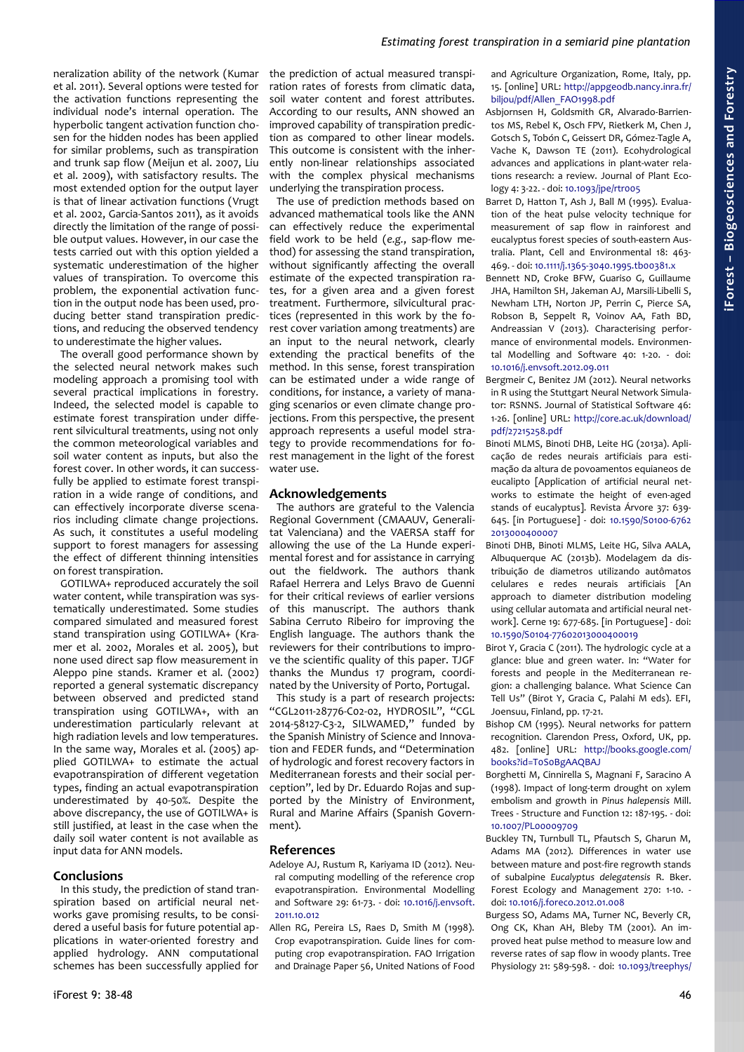neralization ability of the network (Kumar et al. 2011). Several options were tested for the activation functions representing the individual node's internal operation. The hyperbolic tangent activation function chosen for the hidden nodes has been applied for similar problems, such as transpiration and trunk sap flow (Meijun et al. 2007, Liu et al. 2009), with satisfactory results. The most extended option for the output layer is that of linear activation functions (Vrugt et al. 2002, Garcia-Santos 2011), as it avoids directly the limitation of the range of possible output values. However, in our case the tests carried out with this option yielded a systematic underestimation of the higher values of transpiration. To overcome this problem, the exponential activation function in the output node has been used, producing better stand transpiration predictions, and reducing the observed tendency to underestimate the higher values.

The overall good performance shown by the selected neural network makes such modeling approach a promising tool with several practical implications in forestry. Indeed, the selected model is capable to estimate forest transpiration under different silvicultural treatments, using not only the common meteorological variables and soil water content as inputs, but also the forest cover. In other words, it can successfully be applied to estimate forest transpiration in a wide range of conditions, and can effectively incorporate diverse scenarios including climate change projections. As such, it constitutes a useful modeling support to forest managers for assessing the effect of different thinning intensities on forest transpiration.

GOTILWA+ reproduced accurately the soil water content, while transpiration was systematically underestimated. Some studies compared simulated and measured forest stand transpiration using GOTILWA+ (Kramer et al. 2002, Morales et al. 2005), but none used direct sap flow measurement in Aleppo pine stands. Kramer et al. (2002) reported a general systematic discrepancy between observed and predicted stand transpiration using GOTILWA+, with an underestimation particularly relevant at high radiation levels and low temperatures. In the same way, Morales et al. (2005) applied GOTILWA+ to estimate the actual evapotranspiration of different vegetation types, finding an actual evapotranspiration underestimated by 40-50%. Despite the above discrepancy, the use of GOTILWA+ is still justified, at least in the case when the daily soil water content is not available as input data for ANN models.

# **Conclusions**

In this study, the prediction of stand transpiration based on artificial neural networks gave promising results, to be considered a useful basis for future potential applications in water-oriented forestry and applied hydrology. ANN computational schemes has been successfully applied for

the prediction of actual measured transpiration rates of forests from climatic data, soil water content and forest attributes. According to our results, ANN showed an improved capability of transpiration prediction as compared to other linear models. This outcome is consistent with the inherently non-linear relationships associated with the complex physical mechanisms underlying the transpiration process.

The use of prediction methods based on advanced mathematical tools like the ANN can effectively reduce the experimental field work to be held (*e.g.*, sap-flow method) for assessing the stand transpiration, without significantly affecting the overall estimate of the expected transpiration rates, for a given area and a given forest treatment. Furthermore, silvicultural practices (represented in this work by the forest cover variation among treatments) are an input to the neural network, clearly extending the practical benefits of the method. In this sense, forest transpiration can be estimated under a wide range of conditions, for instance, a variety of managing scenarios or even climate change projections. From this perspective, the present approach represents a useful model strategy to provide recommendations for forest management in the light of the forest water use.

# **Acknowledgements**

The authors are grateful to the Valencia Regional Government (CMAAUV, Generalitat Valenciana) and the VAERSA staff for allowing the use of the La Hunde experimental forest and for assistance in carrying out the fieldwork. The authors thank Rafael Herrera and Lelys Bravo de Guenni for their critical reviews of earlier versions of this manuscript. The authors thank Sabina Cerruto Ribeiro for improving the English language. The authors thank the reviewers for their contributions to improve the scientific quality of this paper. TJGF thanks the Mundus 17 program, coordinated by the University of Porto, Portugal.

This study is a part of research projects: "CGL2011-28776-C02-02, HYDROSIL", "CGL 2014-58127-C3-2, SILWAMED," funded by the Spanish Ministry of Science and Innovation and FEDER funds, and "Determination of hydrologic and forest recovery factors in Mediterranean forests and their social perception", led by Dr. Eduardo Rojas and supported by the Ministry of Environment, Rural and Marine Affairs (Spanish Government).

# **References**

Adeloye AJ, Rustum R, Kariyama ID (2012). Neural computing modelling of the reference crop evapotranspiration. Environmental Modelling and Software 29: 61-73. - doi: [10.1016/j.envsoft.](http://dx.doi.org/10.1016/j.envsoft.2011.10.012) [2011.10.012](http://dx.doi.org/10.1016/j.envsoft.2011.10.012)

Allen RG, Pereira LS, Raes D, Smith M (1998). Crop evapotranspiration. Guide lines for computing crop evapotranspiration. FAO Irrigation and Drainage Paper 56, United Nations of Food and Agriculture Organization, Rome, Italy, pp. 15. [online] URL: [http://appgeodb.nancy.inra.fr/](http://appgeodb.nancy.inra.fr/biljou/pdf/Allen_FAO1998.pdf) [biljou/pdf/Allen\\_FAO1998.pdf](http://appgeodb.nancy.inra.fr/biljou/pdf/Allen_FAO1998.pdf)

- Asbjornsen H, Goldsmith GR, Alvarado-Barrientos MS, Rebel K, Osch FPV, Rietkerk M, Chen J, Gotsch S, Tobón C, Geissert DR, Gómez-Tagle A, Vache K, Dawson TE (2011). Ecohydrological advances and applications in plant-water relations research: a review. Journal of Plant Ecology 4: 3-22. - doi: [10.1093/jpe/rtr005](http://dx.doi.org/10.1093/jpe/rtr005)
- Barret D, Hatton T, Ash J, Ball M (1995). Evaluation of the heat pulse velocity technique for measurement of sap flow in rainforest and eucalyptus forest species of south-eastern Australia. Plant, Cell and Environmental 18: 463- 469. - doi: [10.1111/j.1365-3040.1995.tb00381.x](http://dx.doi.org/10.1111/j.1365-3040.1995.tb00381.x)
- Bennett ND, Croke BFW, Guariso G, Guillaume JHA, Hamilton SH, Jakeman AJ, Marsili-Libelli S, Newham LTH, Norton JP, Perrin C, Pierce SA, Robson B, Seppelt R, Voinov AA, Fath BD, Andreassian V (2013). Characterising performance of environmental models. Environmental Modelling and Software 40: 1-20. - doi: [10.1016/j.envsoft.2012.09.011](http://dx.doi.org/10.1016/j.envsoft.2012.09.011)
- Bergmeir C, Benitez JM (2012). Neural networks in R using the Stuttgart Neural Network Simulator: RSNNS. Journal of Statistical Software 46: 1-26. [online] URL: [http://core.ac.uk/download/](http://core.ac.uk/download/pdf/27215258.pdf) [pdf/27215258.pdf](http://core.ac.uk/download/pdf/27215258.pdf)
- Binoti MLMS, Binoti DHB, Leite HG (2013a). Aplicação de redes neurais artificiais para estimação da altura de povoamentos equianeos de eucalipto [Application of artificial neural networks to estimate the height of even-aged stands of eucalyptus]. Revista Árvore 37: 639- 645. [in Portuguese] - doi: [10.1590/S0100-6762](http://dx.doi.org/10.1590/S0100-67622013000400007) [2013000400007](http://dx.doi.org/10.1590/S0100-67622013000400007)
- Binoti DHB, Binoti MLMS, Leite HG, Silva AALA, Albuquerque AC (2013b). Modelagem da distribuição de diametros utilizando autômatos celulares e redes neurais artificiais [An approach to diameter distribution modeling using cellular automata and artificial neural network]. Cerne 19: 677-685. [in Portuguese] - doi: [10.1590/S0104-77602013000400019](http://dx.doi.org/10.1590/S0104-77602013000400019)
- Birot Y, Gracia C (2011). The hydrologic cycle at a glance: blue and green water. In: "Water for forests and people in the Mediterranean region: a challenging balance. What Science Can Tell Us" (Birot Y, Gracia C, Palahi M eds). EFI, Joensuu, Finland, pp. 17-21.
- Bishop CM (1995). Neural networks for pattern recognition. Clarendon Press, Oxford, UK, pp. 482. [online] URL: [http://books.google.com/](http://books.google.com/books?id=T0S0BgAAQBAJ) [books?id=T0S0BgAAQBAJ](http://books.google.com/books?id=T0S0BgAAQBAJ)
- Borghetti M, Cinnirella S, Magnani F, Saracino A (1998). Impact of long-term drought on xylem embolism and growth in *Pinus halepensis* Mill. Trees - Structure and Function 12: 187-195. - doi: [10.1007/PL00009709](http://dx.doi.org/10.1007/PL00009709)
- Buckley TN, Turnbull TL, Pfautsch S, Gharun M, Adams MA (2012). Differences in water use between mature and post-fire regrowth stands of subalpine *Eucalyptus delegatensis* R. Bker. Forest Ecology and Management 270: 1-10. doi: [10.1016/j.foreco.2012.01.008](http://dx.doi.org/10.1016/j.foreco.2012.01.008)
- Burgess SO, Adams MA, Turner NC, Beverly CR, Ong CK, Khan AH, Bleby TM (2001). An improved heat pulse method to measure low and reverse rates of sap flow in woody plants. Tree Physiology 21: 589-598. - doi: [10.1093/treephys/](http://dx.doi.org/10.1093/treephys/21.9.589)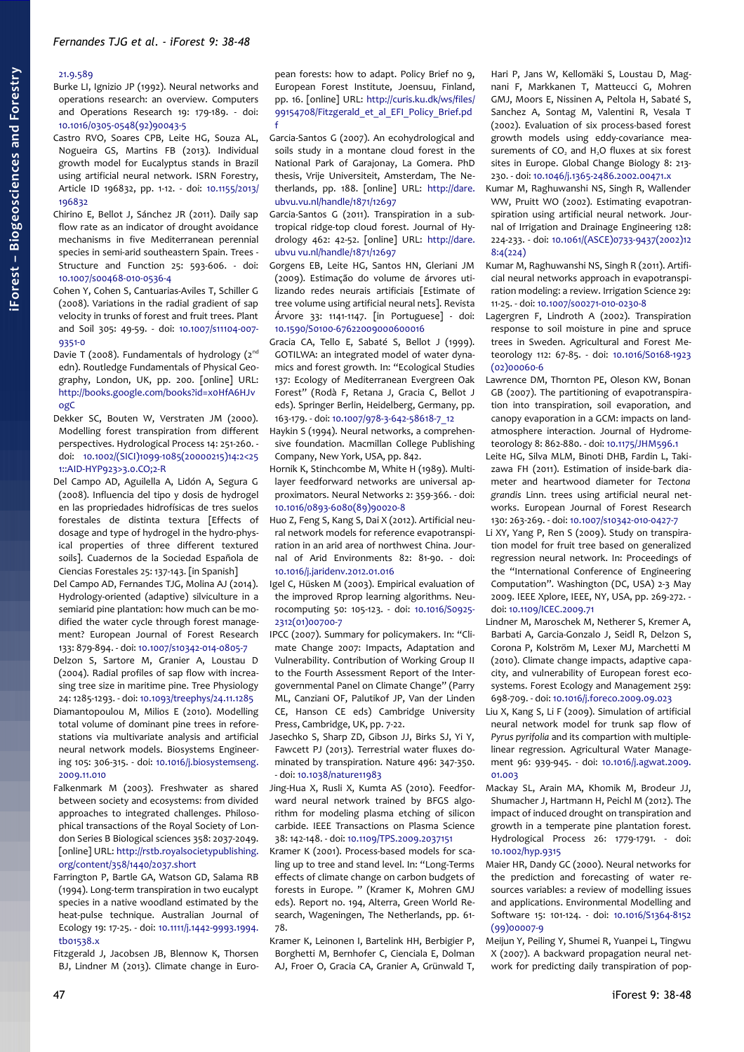## [21.9.589](http://dx.doi.org/10.1093/treephys/21.9.589)

- Burke LI, Ignizio JP (1992). Neural networks and operations research: an overview. Computers and Operations Research 19: 179-189. - doi: [10.1016/0305-0548\(92\)90043-5](http://dx.doi.org/10.1016/0305-0548(92)90043-5)
- Castro RVO, Soares CPB, Leite HG, Souza AL, Nogueira GS, Martins FB (2013). Individual growth model for Eucalyptus stands in Brazil using artificial neural network. ISRN Forestry, Article ID 196832, pp. 1-12. - doi: [10.1155/2013/](http://dx.doi.org/10.1155/2013/196832) [196832](http://dx.doi.org/10.1155/2013/196832)
- Chirino E, Bellot J, Sánchez JR (2011). Daily sap flow rate as an indicator of drought avoidance mechanisms in five Mediterranean perennial species in semi-arid southeastern Spain. Trees - Structure and Function 25: 593-606. - doi: [10.1007/s00468-010-0536-4](http://dx.doi.org/10.1007/s00468-010-0536-4)
- Cohen Y, Cohen S, Cantuarias-Aviles T, Schiller G (2008). Variations in the radial gradient of sap velocity in trunks of forest and fruit trees. Plant and Soil 305: 49-59. - doi: [10.1007/s11104-007-](http://dx.doi.org/10.1007/s11104-007-9351-0) [9351-0](http://dx.doi.org/10.1007/s11104-007-9351-0)
- Davie T (2008). Fundamentals of hydrology  $(2^{nd}$ edn). Routledge Fundamentals of Physical Geography, London, UK, pp. 200. [online] URL: [http://books.google.com/books?id=x0HfA6HJv](http://books.google.com/books?id=x0HfA6HJvogC) [ogC](http://books.google.com/books?id=x0HfA6HJvogC)
- Dekker SC, Bouten W, Verstraten JM (2000). Modelling forest transpiration from different perspectives. Hydrological Process 14: 251-260. doi: [10.1002/\(SICI\)1099-1085\(20000215\)14:2<25](http://dx.doi.org/10.1002/(SICI)1099-1085(20000215)14:2%3C251::AID-HYP923%3E3.0.CO;2-R) [1::AID-HYP923>3.0.CO;2-R](http://dx.doi.org/10.1002/(SICI)1099-1085(20000215)14:2%3C251::AID-HYP923%3E3.0.CO;2-R)
- Del Campo AD, Aguilella A, Lidón A, Segura G (2008). Influencia del tipo y dosis de hydrogel en las propriedades hidrofísicas de tres suelos forestales de distinta textura [Effects of dosage and type of hydrogel in the hydro-physical properties of three different textured soils]. Cuadernos de la Sociedad Española de Ciencias Forestales 25: 137-143. [in Spanish]
- Del Campo AD, Fernandes TJG, Molina AJ (2014). Hydrology-oriented (adaptive) silviculture in a semiarid pine plantation: how much can be modified the water cycle through forest management? European Journal of Forest Research 133: 879-894. - doi: [10.1007/s10342-014-0805-7](http://dx.doi.org/10.1007/s10342-014-0805-7)
- Delzon S, Sartore M, Granier A, Loustau D (2004). Radial profiles of sap flow with increasing tree size in maritime pine. Tree Physiology 24: 1285-1293. - doi: [10.1093/treephys/24.11.1285](http://dx.doi.org/10.1093/treephys/24.11.1285)
- Diamantopoulou M, Milios E (2010). Modelling total volume of dominant pine trees in reforestations via multivariate analysis and artificial neural network models. Biosystems Engineering 105: 306-315. - doi: [10.1016/j.biosystemseng.](http://dx.doi.org/10.1016/j.biosystemseng.2009.11.010) [2009.11.010](http://dx.doi.org/10.1016/j.biosystemseng.2009.11.010)
- Falkenmark M (2003). Freshwater as shared between society and ecosystems: from divided approaches to integrated challenges. Philosophical transactions of the Royal Society of London Series B Biological sciences 358: 2037-2049. [online] URL: [http://rstb.royalsocietypublishing.](http://rstb.royalsocietypublishing.org/content/358/1440/2037.short) [org/content/358/1440/2037.short](http://rstb.royalsocietypublishing.org/content/358/1440/2037.short)
- Farrington P, Bartle GA, Watson GD, Salama RB (1994). Long-term transpiration in two eucalypt species in a native woodland estimated by the heat-pulse technique. Australian Journal of Ecology 19: 17-25. - doi: [10.1111/j.1442-9993.1994.](http://dx.doi.org/10.1111/j.1442-9993.1994.tb01538.x) [tb01538.x](http://dx.doi.org/10.1111/j.1442-9993.1994.tb01538.x)
- Fitzgerald J, Jacobsen JB, Blennow K, Thorsen BJ, Lindner M (2013). Climate change in Euro-

pean forests: how to adapt. Policy Brief no 9, European Forest Institute, Joensuu, Finland, pp. 16. [online] URL: [http://curis.ku.dk/ws/files/](http://curis.ku.dk/ws/files/99154708/Fitzgerald_et_al_EFI_Policy_Brief.pdf) [99154708/Fitzgerald\\_et\\_al\\_EFI\\_Policy\\_Brief.pd](http://curis.ku.dk/ws/files/99154708/Fitzgerald_et_al_EFI_Policy_Brief.pdf) [f](http://curis.ku.dk/ws/files/99154708/Fitzgerald_et_al_EFI_Policy_Brief.pdf)

- Garcia-Santos G (2007). An ecohydrological and soils study in a montane cloud forest in the National Park of Garajonay, La Gomera. PhD thesis, Vrije Universiteit, Amsterdam, The Netherlands, pp. 188. [online] URL: [http://dare.](http://dare.ubvu.vu.nl/handle/1871/12697) [ubvu.vu.nl/handle/1871/12697](http://dare.ubvu.vu.nl/handle/1871/12697)
- Garcia-Santos G (2011). Transpiration in a subtropical ridge-top cloud forest. Journal of Hydrology 462: 42-52. [online] URL: [http://dare.](http://dare.ubvu.vu.nl/handle/1871/12697) [ubvu vu.nl/handle/1871/12697](http://dare.ubvu.vu.nl/handle/1871/12697)
- Gorgens EB, Leite HG, Santos HN, Gleriani JM (2009). Estimação do volume de árvores utilizando redes neurais artificiais [Estimate of tree volume using artificial neural nets]. Revista Árvore 33: 1141-1147. [in Portuguese] - doi: [10.1590/S0100-67622009000600016](http://dx.doi.org/10.1590/S0100-67622009000600016)
- Gracia CA, Tello E, Sabaté S, Bellot J (1999). GOTILWA: an integrated model of water dynamics and forest growth. In: "Ecological Studies 137: Ecology of Mediterranean Evergreen Oak Forest" (Rodà F, Retana J, Gracia C, Bellot J eds). Springer Berlin, Heidelberg, Germany, pp. 163-179. - doi: [10.1007/978-3-642-58618-7\\_12](http://dx.doi.org/10.1007/978-3-642-58618-7_12)
- Haykin S (1994). Neural networks, a comprehensive foundation. Macmillan College Publishing Company, New York, USA, pp. 842.
- Hornik K, Stinchcombe M, White H (1989). Multilayer feedforward networks are universal approximators. Neural Networks 2: 359-366. - doi: [10.1016/0893-6080\(89\)90020-8](http://dx.doi.org/10.1016/0893-6080(89)90020-8)
- Huo Z, Feng S, Kang S, Dai X (2012). Artificial neural network models for reference evapotranspiration in an arid area of northwest China. Journal of Arid Environments 82: 81-90. - doi: [10.1016/j.jaridenv.2012.01.016](http://dx.doi.org/10.1016/j.jaridenv.2012.01.016)
- Igel C, Hüsken M (2003). Empirical evaluation of the improved Rprop learning algorithms. Neurocomputing 50: 105-123. - doi: [10.1016/S0925-](http://dx.doi.org/10.1016/S0925-2312(01)00700-7) [2312\(01\)00700-7](http://dx.doi.org/10.1016/S0925-2312(01)00700-7)
- IPCC (2007). Summary for policymakers. In: "Climate Change 2007: Impacts, Adaptation and Vulnerability. Contribution of Working Group II to the Fourth Assessment Report of the Intergovernmental Panel on Climate Change" (Parry ML, Canziani OF, Palutikof JP, Van der Linden CE, Hanson CE eds) Cambridge University Press, Cambridge, UK, pp. 7-22.
- Jasechko S, Sharp ZD, Gibson JJ, Birks SJ, Yi Y, Fawcett PJ (2013). Terrestrial water fluxes dominated by transpiration. Nature 496: 347-350. - doi: [10.1038/nature11983](http://dx.doi.org/10.1038/nature11983)
- Jing-Hua X, Rusli X, Kumta AS (2010). Feedforward neural network trained by BFGS algorithm for modeling plasma etching of silicon carbide. IEEE Transactions on Plasma Science 38: 142-148. - doi: [10.1109/TPS.2009.2037151](http://dx.doi.org/10.1109/TPS.2009.2037151)
- Kramer K (2001). Process-based models for scaling up to tree and stand level. In: "Long-Terms effects of climate change on carbon budgets of forests in Europe. " (Kramer K, Mohren GMJ eds). Report no. 194, Alterra, Green World Research, Wageningen, The Netherlands, pp. 61- 78.
- Kramer K, Leinonen I, Bartelink HH, Berbigier P, Borghetti M, Bernhofer C, Cienciala E, Dolman AJ, Froer O, Gracia CA, Granier A, Grünwald T,

Hari P, Jans W, Kellomäki S, Loustau D, Magnani F, Markkanen T, Matteucci G, Mohren GMJ, Moors E, Nissinen A, Peltola H, Sabaté S, Sanchez A, Sontag M, Valentini R, Vesala T (2002). Evaluation of six process-based forest growth models using eddy-covariance measurements of  $CO<sub>2</sub>$  and  $H<sub>2</sub>O$  fluxes at six forest sites in Europe. Global Change Biology 8: 213- 230. - doi: [10.1046/j.1365-2486.2002.00471.x](http://dx.doi.org/10.1046/j.1365-2486.2002.00471.x)

- Kumar M, Raghuwanshi NS, Singh R, Wallender WW, Pruitt WO (2002). Estimating evapotranspiration using artificial neural network. Journal of Irrigation and Drainage Engineering 128: 224-233. - doi: [10.1061/\(ASCE\)0733-9437\(2002\)12](http://dx.doi.org/10.1061/(ASCE)0733-9437(2002)128:4(224)) [8:4\(224\)](http://dx.doi.org/10.1061/(ASCE)0733-9437(2002)128:4(224))
- Kumar M, Raghuwanshi NS, Singh R (2011). Artificial neural networks approach in evapotranspiration modeling: a review. Irrigation Science 29: 11-25. - doi: [10.1007/s00271-010-0230-8](http://dx.doi.org/10.1007/s00271-010-0230-8)
- Lagergren F, Lindroth A (2002). Transpiration response to soil moisture in pine and spruce trees in Sweden. Agricultural and Forest Meteorology 112: 67-85. - doi: [10.1016/S0168-1923](http://dx.doi.org/10.1016/S0168-1923(02)00060-6) [\(02\)00060-6](http://dx.doi.org/10.1016/S0168-1923(02)00060-6)
- Lawrence DM, Thornton PE, Oleson KW, Bonan GB (2007). The partitioning of evapotranspiration into transpiration, soil evaporation, and canopy evaporation in a GCM: impacts on landatmosphere interaction. Journal of Hydrometeorology 8: 862-880. - doi: [10.1175/JHM596.1](http://dx.doi.org/10.1175/JHM596.1)
- Leite HG, Silva MLM, Binoti DHB, Fardin L, Takizawa FH (2011). Estimation of inside-bark diameter and heartwood diameter for *Tectona grandis* Linn. trees using artificial neural networks. European Journal of Forest Research 130: 263-269. - doi: [10.1007/s10342-010-0427-7](http://dx.doi.org/10.1007/s10342-010-0427-7)
- Li XY, Yang P, Ren S (2009). Study on transpiration model for fruit tree based on generalized regression neural network. In: Proceedings of the "International Conference of Engineering Computation". Washington (DC, USA) 2-3 May 2009. IEEE Xplore, IEEE, NY, USA, pp. 269-272. doi: [10.1109/ICEC.2009.71](http://dx.doi.org/10.1109/ICEC.2009.71)
- Lindner M, Maroschek M, Netherer S, Kremer A, Barbati A, Garcia-Gonzalo J, Seidl R, Delzon S, Corona P, Kolström M, Lexer MJ, Marchetti M (2010). Climate change impacts, adaptive capacity, and vulnerability of European forest ecosystems. Forest Ecology and Management 259: 698-709. - doi: [10.1016/j.foreco.2009.09.023](http://dx.doi.org/10.1016/j.foreco.2009.09.023)
- Liu X, Kang S, Li F (2009). Simulation of artificial neural network model for trunk sap flow of *Pyrus pyrifolia* and its compartion with multiplelinear regression. Agricultural Water Management 96: 939-945. - doi: [10.1016/j.agwat.2009.](http://dx.doi.org/10.1016/j.agwat.2009.01.003) [01.003](http://dx.doi.org/10.1016/j.agwat.2009.01.003)
- Mackay SL, Arain MA, Khomik M, Brodeur JJ, Shumacher J, Hartmann H, Peichl M (2012). The impact of induced drought on transpiration and growth in a temperate pine plantation forest. Hydrological Process 26: 1779-1791. - doi: [10.1002/hyp.9315](http://dx.doi.org/10.1002/hyp.9315)
- Maier HR, Dandy GC (2000). Neural networks for the prediction and forecasting of water resources variables: a review of modelling issues and applications. Environmental Modelling and Software 15: 101-124. - doi: [10.1016/S1364-8152](http://dx.doi.org/10.1016/S1364-8152(99)00007-9) [\(99\)00007-9](http://dx.doi.org/10.1016/S1364-8152(99)00007-9)
- Meijun Y, Peiling Y, Shumei R, Yuanpei L, Tingwu X (2007). A backward propagation neural network for predicting daily transpiration of pop-